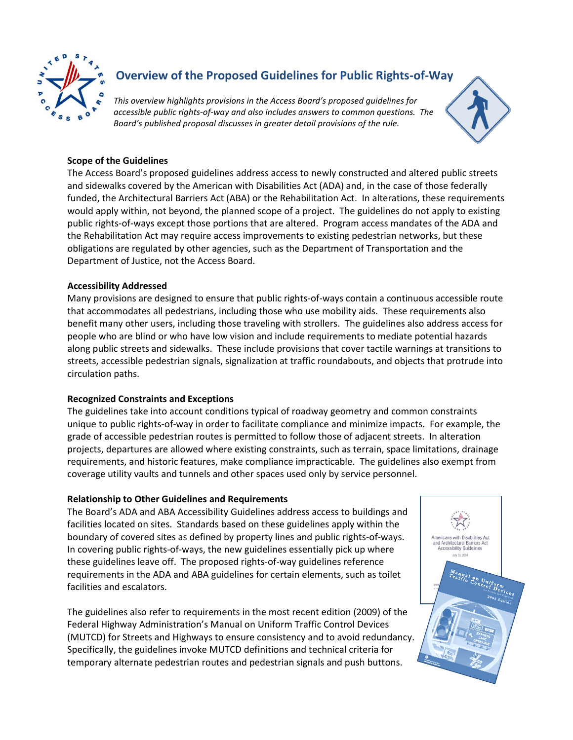

# **Overview of the Proposed Guidelines for Public Rights-of-Way**

*This overview highlights provisions in the Access Board's proposed guidelines for accessible public rights-of-way and also includes answers to common questions. The Board's published proposal discusses in greater detail provisions of the rule.* 



# **Scope of the Guidelines**

The Access Board's proposed guidelines address access to newly constructed and altered public streets and sidewalks covered by the American with Disabilities Act (ADA) and, in the case of those federally funded, the Architectural Barriers Act (ABA) or the Rehabilitation Act. In alterations, these requirements would apply within, not beyond, the planned scope of a project. The guidelines do not apply to existing public rights-of-ways except those portions that are altered. Program access mandates of the ADA and the Rehabilitation Act may require access improvements to existing pedestrian networks, but these obligations are regulated by other agencies, such as the Department of Transportation and the Department of Justice, not the Access Board.

# **Accessibility Addressed**

Many provisions are designed to ensure that public rights-of-ways contain a continuous accessible route that accommodates all pedestrians, including those who use mobility aids. These requirements also benefit many other users, including those traveling with strollers. The guidelines also address access for people who are blind or who have low vision and include requirements to mediate potential hazards along public streets and sidewalks. These include provisions that cover tactile warnings at transitions to streets, accessible pedestrian signals, signalization at traffic roundabouts, and objects that protrude into circulation paths.

# **Recognized Constraints and Exceptions**

The guidelines take into account conditions typical of roadway geometry and common constraints unique to public rights-of-way in order to facilitate compliance and minimize impacts. For example, the grade of accessible pedestrian routes is permitted to follow those of adjacent streets. In alteration projects, departures are allowed where existing constraints, such as terrain, space limitations, drainage requirements, and historic features, make compliance impracticable. The guidelines also exempt from coverage utility vaults and tunnels and other spaces used only by service personnel.

# **Relationship to Other Guidelines and Requirements**

The Board's ADA and ABA Accessibility Guidelines address access to buildings and facilities located on sites. Standards based on these guidelines apply within the boundary of covered sites as defined by property lines and public rights-of-ways. In covering public rights-of-ways, the new guidelines essentially pick up where these guidelines leave off. The proposed rights-of-way guidelines reference requirements in the ADA and ABA guidelines for certain elements, such as toilet facilities and escalators.

The guidelines also refer to requirements in the most recent edition (2009) of the Federal Highway Administration's Manual on Uniform Traffic Control Devices (MUTCD) for Streets and Highways to ensure consistency and to avoid redundancy. Specifically, the guidelines invoke MUTCD definitions and technical criteria for temporary alternate pedestrian routes and pedestrian signals and push buttons.

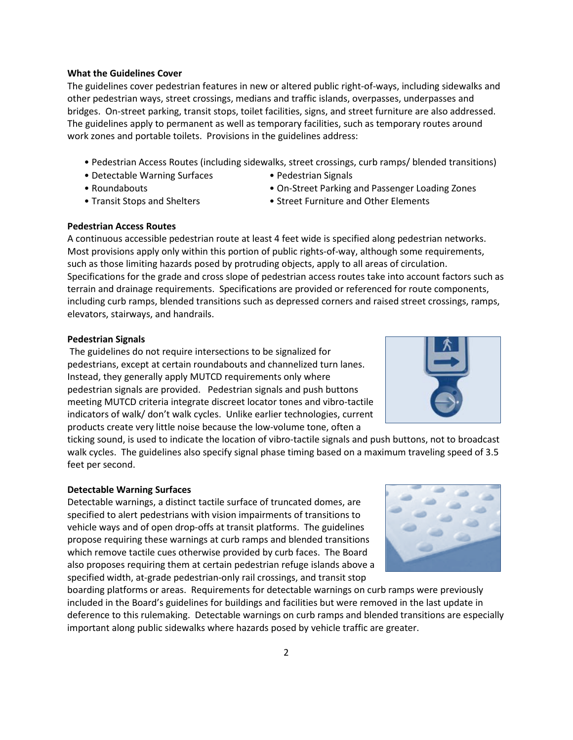#### **What the Guidelines Cover**

The guidelines cover pedestrian features in new or altered public right-of-ways, including sidewalks and other pedestrian ways, street crossings, medians and traffic islands, overpasses, underpasses and bridges. On-street parking, transit stops, toilet facilities, signs, and street furniture are also addressed. The guidelines apply to permanent as well as temporary facilities, such as temporary routes around work zones and portable toilets. Provisions in the guidelines address:

- Pedestrian Access Routes (including sidewalks, street crossings, curb ramps/ blended transitions)
- Detectable Warning Surfaces Pedestrian Signals
- 

- 
- 
- Roundabouts On-Street Parking and Passenger Loading Zones
- Transit Stops and Shelters Street Furniture and Other Elements

#### **Pedestrian Access Routes**

A continuous accessible pedestrian route at least 4 feet wide is specified along pedestrian networks. Most provisions apply only within this portion of public rights-of-way, although some requirements, such as those limiting hazards posed by protruding objects, apply to all areas of circulation. Specifications for the grade and cross slope of pedestrian access routes take into account factors such as terrain and drainage requirements. Specifications are provided or referenced for route components, including curb ramps, blended transitions such as depressed corners and raised street crossings, ramps, elevators, stairways, and handrails.

#### **Pedestrian Signals**

The guidelines do not require intersections to be signalized for pedestrians, except at certain roundabouts and channelized turn lanes. Instead, they generally apply MUTCD requirements only where pedestrian signals are provided. Pedestrian signals and push buttons meeting MUTCD criteria integrate discreet locator tones and vibro-tactile indicators of walk/ don't walk cycles. Unlike earlier technologies, current products create very little noise because the low-volume tone, often a

ticking sound, is used to indicate the location of vibro-tactile signals and push buttons, not to broadcast walk cycles. The guidelines also specify signal phase timing based on a maximum traveling speed of 3.5 feet per second.

# **Detectable Warning Surfaces**

Detectable warnings, a distinct tactile surface of truncated domes, are specified to alert pedestrians with vision impairments of transitions to vehicle ways and of open drop-offs at transit platforms. The guidelines propose requiring these warnings at curb ramps and blended transitions which remove tactile cues otherwise provided by curb faces. The Board also proposes requiring them at certain pedestrian refuge islands above a specified width, at-grade pedestrian-only rail crossings, and transit stop

boarding platforms or areas. Requirements for detectable warnings on curb ramps were previously included in the Board's guidelines for buildings and facilities but were removed in the last update in deference to this rulemaking. Detectable warnings on curb ramps and blended transitions are especially important along public sidewalks where hazards posed by vehicle traffic are greater.



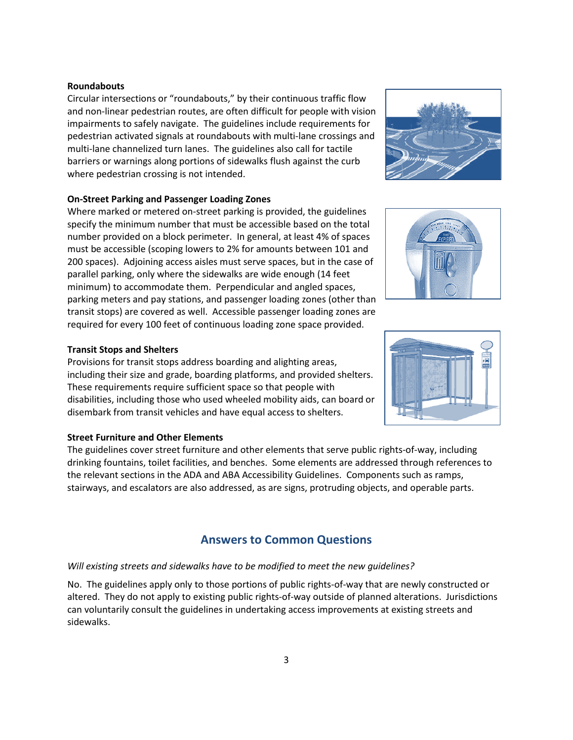#### **Roundabouts**

Circular intersections or "roundabouts," by their continuous traffic flow and non-linear pedestrian routes, are often difficult for people with vision impairments to safely navigate. The guidelines include requirements for pedestrian activated signals at roundabouts with multi-lane crossings and multi-lane channelized turn lanes. The guidelines also call for tactile barriers or warnings along portions of sidewalks flush against the curb where pedestrian crossing is not intended.

#### **On-Street Parking and Passenger Loading Zones**

Where marked or metered on-street parking is provided, the guidelines specify the minimum number that must be accessible based on the total number provided on a block perimeter. In general, at least 4% of spaces must be accessible (scoping lowers to 2% for amounts between 101 and 200 spaces). Adjoining access aisles must serve spaces, but in the case of parallel parking, only where the sidewalks are wide enough (14 feet minimum) to accommodate them. Perpendicular and angled spaces, parking meters and pay stations, and passenger loading zones (other than transit stops) are covered as well. Accessible passenger loading zones are required for every 100 feet of continuous loading zone space provided.

#### **Transit Stops and Shelters**

Provisions for transit stops address boarding and alighting areas, including their size and grade, boarding platforms, and provided shelters. These requirements require sufficient space so that people with disabilities, including those who used wheeled mobility aids, can board or disembark from transit vehicles and have equal access to shelters.

# **Street Furniture and Other Elements**

The guidelines cover street furniture and other elements that serve public rights-of-way, including drinking fountains, toilet facilities, and benches. Some elements are addressed through references to the relevant sections in the ADA and ABA Accessibility Guidelines. Components such as ramps, stairways, and escalators are also addressed, as are signs, protruding objects, and operable parts.

# **Answers to Common Questions**

# *Will existing streets and sidewalks have to be modified to meet the new guidelines?*

No. The guidelines apply only to those portions of public rights-of-way that are newly constructed or altered. They do not apply to existing public rights-of-way outside of planned alterations. Jurisdictions can voluntarily consult the guidelines in undertaking access improvements at existing streets and sidewalks.